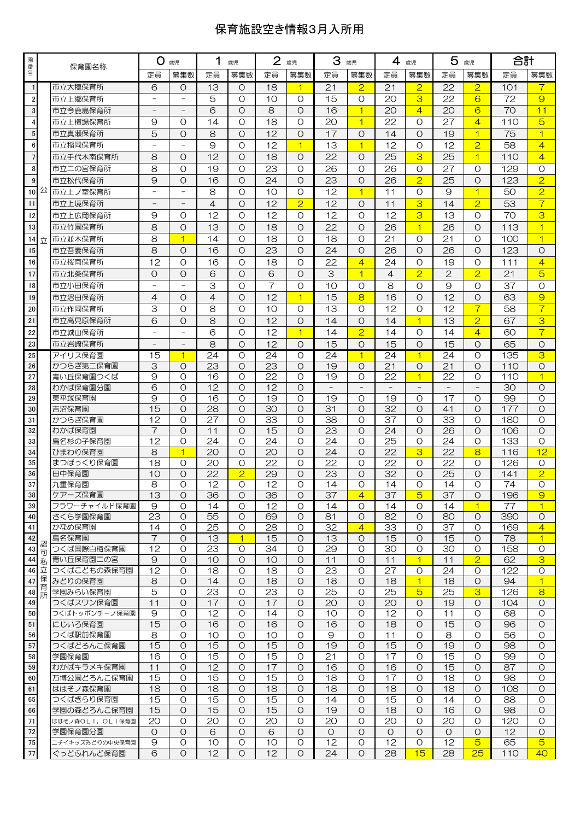## 保育施設空き情報3月入所用

| 園番             |        | 保育園名称                         | O.<br>歳児                 |                | 1<br>歳児         |                    | $\mathbf{2}$<br>歳児 |                      | 3<br>歳児         |                        | 4<br>歳児         |                 | 5<br>歳児         |                                     | 合計        |                           |
|----------------|--------|-------------------------------|--------------------------|----------------|-----------------|--------------------|--------------------|----------------------|-----------------|------------------------|-----------------|-----------------|-----------------|-------------------------------------|-----------|---------------------------|
| 믁              |        |                               | 定員                       | 募集数            | 定員              | 募集数                | 定員                 | 募集数                  | 定員              | 募集数                    | 定員              | 募集数             | 定員              | 募集数                                 | 定員        | 募集数                       |
| $\mathbf{1}$   |        | 市立大穂保育所                       | 6                        | $\circ$        | 13              | O                  | 18                 | 1                    | 21              | $\overline{2}$         | 21              | $\overline{2}$  | 22              | $\overline{2}$                      | 101       | 7                         |
| $\overline{2}$ |        | 市立上郷保育所                       |                          |                | 5               | $\circ$            | 10                 | $\Omega$             | 15              | $\Omega$               | 20              | 3               | 22              | 6                                   | 72        | $\overline{9}$            |
| $\mathbf 3$    |        | 市立今鹿島保育所                      | $\overline{\phantom{0}}$ |                | 6               | $\Omega$           | 8                  | $\Omega$             | 16              | $\overline{1}$         | 20              | $\overline{4}$  | 20              | 6                                   | 70        | 11                        |
| $\overline{4}$ |        | 市立上横場保育所                      | 9                        | O              | 14              | $\Omega$           | 18                 | $\Omega$             | 20              | $\overline{1}$         | 22              | $\circ$         | 27              | $\overline{4}$                      | 110       | 5                         |
| $\sqrt{5}$     |        | 市立真瀬保育所                       | 5                        | $\circ$        | 8               | $\Omega$           | 12                 | $\Omega$             | 17              | $\Omega$               | 14              | $\Omega$        | 19              | $\overline{1}$                      | 75        | $\overline{1}$            |
| $\bf 6$        |        | 市立稲岡保育所                       |                          |                | 9               | O                  | 12                 | $\overline{1}$       | 13              | $\overline{1}$         | 12              | $\circ$         | 12              | $\overline{2}$                      | 58        | $\overline{4}$            |
| $\overline{7}$ |        | 市立手代木南保育所                     | 8                        | $\circ$        | 12              | $\Omega$           | 18                 | $\Omega$             | 22              | $\Omega$               | 25              | 3               | 25              | $\overline{1}$                      | 110       | $\overline{4}$            |
| 8              |        | 市立二の宮保育所                      | 8                        | $\circ$        | 19              | O                  | 23                 | $\Omega$             | 26              | $\Omega$               | 26              | $\circ$         | 27              | O                                   | 129       | O                         |
| $\overline{9}$ |        | 市立松代保育所                       | $\Theta$                 | $\circ$        | 16              | $\Omega$           | 24                 | $\Omega$             | 23              | $\Omega$               | 26              | $\overline{2}$  | 25              | $\circ$                             | 123       | $\overline{2}$            |
| 10公            |        | 市立上ノ室保育所                      | $\qquad \qquad -$        |                | 8               | O                  | 10                 | $\Omega$             | 12              | $\overline{1}$         | 11              | $\circ$         | 9               | $\overline{1}$                      | 50        | $\overline{2}$            |
| 11             |        | 市立上境保育所                       |                          |                | $\overline{4}$  | $\Omega$           | 12                 | $\overline{2}$       | 12              | $\Omega$               | 11              | 3               | 14              | $\overline{2}$                      | 53        | $\overline{7}$            |
| 12             |        | 市立上広岡保育所                      | 9                        | $\circ$        | 12              | O                  | 12                 | $\Omega$             | 12              | $\Omega$               | 12              | 3               | 13              | $\Omega$                            | 70        | 3                         |
| 13             |        | 市立竹園保育所                       | 8                        | $\circ$        | 13              | $\circ$            | 18                 | $\Omega$             | 22              | $\Omega$               | 26              | $\overline{1}$  | 26              | $\circ$                             | 113       | $\overline{1}$            |
| 14             | 立      | 市立並木保育所                       | 8                        | $\overline{1}$ | 14              | $\Omega$           | 18                 | $\Omega$             | 18              | $\Omega$               | 21              | $\circ$         | 21              | $\circ$                             | 100       | $\overline{1}$            |
| 15             |        | 市立吾妻保育所                       | 8                        | $\circ$        | 16              | $\circ$            | 23                 | $\Omega$             | 24              | $\Omega$               | 26              | $\Omega$        | 26              | $\circ$                             | 123       | O                         |
| 16             |        | 市立桜南保育所                       | 12                       | $\circ$        | 16              | $\Omega$           | 18                 | $\Omega$             | 22              | $\overline{4}$         | 24              | $\Omega$        | 19              | O                                   | 111       | $\overline{4}$            |
| 17             |        | 市立北条保育所                       | O                        | $\circ$        | 6               | $\Omega$           | 6                  | $\Omega$             | 3               | $\overline{1}$         | $\overline{4}$  | $\overline{2}$  | $\overline{2}$  | $\overline{2}$                      | 21        | 5                         |
| 18             |        | 市立小田保育所                       |                          |                | 3               | $\circ$            | 7                  | $\Omega$             | 10              | $\circ$                | 8               | $\circ$         | 9               | $\circ$                             | 37        | $\circ$                   |
| 19             |        | 市立沼田保育所                       | $\overline{4}$           | $\circ$        | $\overline{4}$  | $\circ$            | 12                 | $\overline{1}$       | 15              | 8                      | 16              | $\circ$         | 12              | $\circ$                             | 63        | $\overline{9}$            |
| 20             |        | 市立作岡保育所                       | 3                        | $\circ$        | 8               | O                  | 10                 | $\circ$              | 13              | $\circ$                | 12              | O               | 12              | $\overline{7}$                      | 58        | $\overline{\tau}$         |
| 21             |        | 市立高見原保育所                      | 6                        | $\circ$        | 8               | $\circ$            | 12                 | $\Omega$             | 14              | $\Omega$               | 14              | $\overline{1}$  | 13              | $\overline{2}$                      | 67        | 3                         |
| 22             |        | 市立城山保育所                       |                          |                | 6               | O                  | 12                 | $\overline{1}$       | 14              | $\overline{2}$         | 14              | O               | 14              | $\overline{4}$                      | 60        | $\overline{\tau}$         |
| 23             |        | 市立岩崎保育所                       |                          |                | 8               | $\Omega$           | 12                 | $\Omega$             | 15              | $\Omega$               | 15              | $\Omega$        | 15              | $\circ$                             | 65        | O                         |
| 25             |        | アイリス保育園                       | 15                       | 1              | 24              | $\circ$            | 24                 | $\circ$              | 24              | $\mathbf{1}$           | 24              | $\overline{1}$  | 24              | O                                   | 135       | 3                         |
| 26             |        | かつらぎ第二保育園                     | 3                        | $\Omega$       | 23              | $\Omega$           | 23                 | $\Omega$             | 19              | $\Omega$               | 21              | $\Omega$        | 21              | $\Omega$                            | 110       | $\Omega$                  |
| 27<br>28       |        | 青い丘保育園つくば<br>わかば保育園分園         | 9<br>6                   | O<br>$\circ$   | 16<br>12        | $\circ$<br>$\circ$ | 22<br>12           | $\Omega$<br>$\Omega$ | 19              | O<br>$\qquad \qquad -$ | 22              | $\overline{1}$  | 22              | $\circ$<br>$\overline{\phantom{a}}$ | 110<br>30 | $\overline{1}$<br>$\circ$ |
| 29             |        | 東平塚保育園                        | 9                        | $\Omega$       | 16              | $\Omega$           | 19                 | $\Omega$             | 19              | $\Omega$               | 19              | O               | 17              | O                                   | 99        | $\Omega$                  |
| 30             |        | 吉沼保育園                         | 15                       | $\circ$        | $\overline{28}$ | $\circ$            | 30                 | $\Omega$             | 31              | $\Omega$               | $\overline{32}$ | $\Omega$        | 41              | $\circ$                             | 177       | $\Omega$                  |
| 31             |        | かつらぎ保育園                       | 12                       | $\circ$        | 27              | O                  | 33                 | $\Omega$             | 38              | O                      | 37              | O               | 33              | O                                   | 180       | O                         |
| 32             |        | わかば保育園                        | $\overline{7}$           | $\Omega$       | 11              | $\Omega$           | 15                 | $\Omega$             | 23              | $\Omega$               | 24              | $\Omega$        | 26              | $\Omega$                            | 106       | $\circ$                   |
| 33             |        | 島名杉の子保育園                      | $\overline{12}$          | $\circ$        | 24              | $\circ$            | 24                 | $\circ$              | 24              | $\circ$                | 25              | $\circ$         | 24              | $\circ$                             | 133       | $\circ$                   |
| 34             |        | ひまわり保育園                       | 8                        | $\overline{1}$ | 20              | $\circ$            | 20                 | $\Omega$             | 24              | $\circ$                | $\overline{22}$ | 3               | 22              | 8                                   | 116       | 12                        |
| 35             |        | まつぼっくり保育園                     | 18                       | O              | 20              | Ο                  | 22                 | $\Omega$             | 22              | $\Omega$               | 22              | O               | 22              | O                                   | 126       | O                         |
| 36             |        | 田中保育園                         | 10                       | $\circ$        | $\overline{22}$ | $\overline{2}$     | 29                 | $\Omega$             | $\overline{23}$ | $\Omega$               | $\overline{32}$ | O               | $\overline{25}$ | O                                   | 141       | $\overline{2}$            |
| 37             |        | 九重保育園                         | 8                        | $\Omega$       | 12              | $\Omega$           | 12                 | $\Omega$             | 14              | $\Omega$               | 14              | $\Omega$        | 14              | $\Omega$                            | 74        | $\Omega$                  |
| 38<br>39       |        | ケアーズ保育園<br>フラワーチャイルド保育園       | 13<br>9                  | O<br>$\circ$   | 36<br>14        | O<br>$\circ$       | 36<br>12           | Ő<br>$\circ$         | 37<br>14        | 4<br>$\circ$           | 37<br>14        | $\sqrt{5}$<br>O | 37<br>14        | O<br>$\overline{1}$                 | 196<br>77 | $\Theta$<br>$\vert$ 1     |
| 40             |        | さくら学園保育園                      | 23                       | $\circ$        | 55              | $\circ$            | 69                 | $\circ$              | 81              | $\circ$                | 82              | $\circ$         | 80              | $\circ$                             | 390       | $\circ$                   |
| 41             |        | かなめ保育園                        | 14                       | O              | 25              | O                  | 28                 | O                    | 32              | $\overline{4}$         | 33              | O               | 37              | $\circ$                             | 169       | $\overline{4}$            |
| 42             |        | 島名保育園                         | 7                        | $\circ$        | 13              | 1                  | 15                 | O                    | 13              | O                      | 15              | O               | 15              | $\circ$                             | 78        | $\overline{1}$            |
| 43             | 認<br>可 | つくば国際白梅保育園                    | 12                       | O              | 23              | O                  | 34                 | O                    | 29              | $\circ$                | 30              | O               | 30              | O                                   | 158       | $\circ$                   |
| 44 私           |        | 青い丘保育園二の宮                     | 9                        | $\circ$        | 10              | O                  | 10                 | $\circ$              | 11              | $\circ$                | 11              | $\overline{1}$  | 11              | $\overline{2}$                      | 62        | 3                         |
| 46 立           |        | つくばこどもの森保育園                   | $\overline{12}$          | $\Omega$       | 18              | $\circ$            | 18                 | $\circ$              | $\overline{23}$ | $\Omega$               | $\overline{27}$ | O               | 24              | $\circ$                             | 122       | $\circ$                   |
| 47             | 保<br>育 | みどりの保育園                       | 8                        | $\circ$        | 14              | $\circ$            | 18                 | $\circ$              | 18              | $\circ$                | 18              | $\overline{1}$  | 18              | $\circ$                             | 94        | 1                         |
| 48             | 所      | 学園みらい保育園                      | $\overline{5}$           | O              | 23              | $\circ$            | 23                 | O                    | 25              | O                      | 25              | $\overline{5}$  | 25              | 3                                   | 126       | 8                         |
| 49             |        | つくばスワン保育園                     | 11                       | $\circ$        | 17              | O                  | 17                 | $\circ$              | 20              | $\circ$                | 20              | O               | 19              | O                                   | 104       | $\circ$                   |
| 50             |        | つくばトッポンチーノ保育園                 | 9<br>15                  | O<br>$\circ$   | 12<br>16        | $\circ$<br>O       | 14<br>16           | $\circ$<br>$\circ$   | 10<br>16        | O<br>$\circ$           | 12<br>18        | O<br>$\circ$    | 11<br>15        | $\circ$<br>$\circ$                  | 68<br>96  | $\circ$<br>$\circ$        |
| 51<br>56       |        | にじいろ保育園<br>つくば駅前保育園           | 8                        | $\circ$        | 10              | $\circ$            | 10                 | $\Omega$             | 9               | $\Omega$               | 11              | $\circ$         | 8               | $\circ$                             | 56        | $\circ$                   |
| 57             |        | つくばどろんこ保育園                    | 15                       | $\circ$        | 15              | $\circ$            | 15                 | $\circ$              | 19              | $\circ$                | 15              | $\circ$         | 19              | $\circ$                             | 98        | $\circ$                   |
| 58             |        | 学園保育園                         | 16                       | O              | 15              | $\circ$            | 15                 | $\circ$              | 21              | $\circ$                | 17              | O               | 15              | O                                   | 99        | $\circ$                   |
| 59             |        | わかばキラメキ保育園                    | 11                       | O              | 12              | O                  | 17                 | O                    | 16              | $\Omega$               | 16              | O               | 15              | O                                   | 87        | O                         |
| 60             |        | 万博公園どろんこ保育園                   | 15                       | $\circ$        | 15              | $\circ$            | 15                 | $\circ$              | 18              | $\circ$                | 17              | $\circ$         | 18              | $\circ$                             | 98        | $\circ$                   |
| 61             |        | ははそノ森保育園                      | 18                       | $\circ$        | 18              | $\circ$            | 18                 | $\circ$              | 18              | $\circ$                | 18              | $\circ$         | 18              | $\circ$                             | 108       | $\circ$                   |
| 65             |        | つくばきらり保育園                     | 15                       | $\circ$        | 15              | $\circ$            | 15                 | $\circ$              | 14              | $\circ$                | 15              | O               | 14              | $\circ$                             | 88        | 0                         |
| 66             |        | 学園の森どろんこ保育園                   | 15                       | $\circ$        | 15              | $\circ$            | 15                 | $\circ$              | 19              | $\circ$                | 18              | $\circ$         | 16              | $\circ$                             | 98        | $\circ$                   |
| 71             |        | ははそノ森OLI,OLI保育園               | 20                       | O              | 20              | $\circ$            | 20                 | $\circ$              | 20              | $\circ$                | 20              | O               | 20              | O                                   | 120       | $\circ$                   |
| 72             |        | 学園保育園分園                       | O<br>9                   | O<br>O         | 6<br>10         | O<br>$\circ$       | 6<br>10            | O<br>O               | O<br>12         | O<br>$\circ$           | O<br>12         | O<br>O          | O<br>12         | O<br>$\overline{5}$                 | 12        | O<br>$\overline{5}$       |
| 75<br>77       |        | ニチイキッズみどりの中央保育園<br>ぐっどふれんど保育園 | 6                        | $\circ$        | 12              | $\circ$            | 12                 | $\circ$              | 24              | O                      | 28              | 15              | 28              | 25                                  | 65<br>110 | 40                        |
|                |        |                               |                          |                |                 |                    |                    |                      |                 |                        |                 |                 |                 |                                     |           |                           |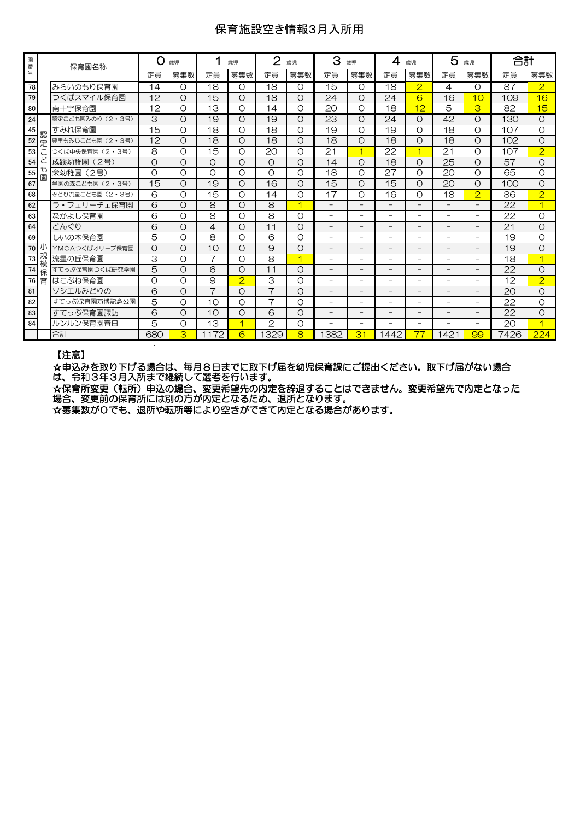## 保育施設空き情報3月入所用

| 園番号 |        | 保育園名称            | O<br>歳児<br>歳児 |          | $\overline{2}$<br>歳児 |                | З              | 歳児       | 4                        | 歳児                       |                          | 5<br>歳児                  |                          | 合計                       |      |                |
|-----|--------|------------------|---------------|----------|----------------------|----------------|----------------|----------|--------------------------|--------------------------|--------------------------|--------------------------|--------------------------|--------------------------|------|----------------|
|     |        |                  | 定員            | 募集数      | 定員                   | 募集数            | 定員             | 募集数      | 定員                       | 募集数                      | 定員                       | 募集数                      | 定員                       | 募集数                      | 定員   | 募集数            |
| 78  |        | みらいのもり保育園        | 14            | O        | 18                   | $\Omega$       | 18             | O        | 15                       | $\Omega$                 | 18                       | $\overline{2}$           | 4                        | O                        | 87   | $\overline{2}$ |
| 79  |        | つくばスマイル保育園       | 12            | $\circ$  | 15                   | O              | 18             | $\Omega$ | 24                       | $\Omega$                 | 24                       | 6                        | 16                       | 10                       | 109  | 16             |
| 80  |        | 南十字保育園           | 12            | O        | 13                   | O              | 14             | Ω        | 20                       | $\Omega$                 | 18                       | 12                       | 5                        | 3                        | 82   | 15             |
| 24  |        | 認定こども園みのり (2・3号) | 3             | $\circ$  | 19                   | O              | 19             | Ο        | 23                       | O                        | 24                       | Ο                        | 42                       | O                        | 130  | $\Omega$       |
| 45  | 認      | すみれ保育園           | 15            | O        | 18                   | $\Omega$       | 18             | $\Omega$ | 19                       | $\Omega$                 | 19                       | $\Omega$                 | 18                       | O                        | 107  | $\Omega$       |
| 52  | 定      | 豊里もみじこども園 (2・3号) | 12            | O        | 18                   | O              | 18             | Ο        | 18                       | O                        | 18                       | O                        | 18                       | $\circ$                  | 102  | O              |
| 53  |        | つくば中央保育園 (2・3号)  | 8             | O        | 15                   | $\Omega$       | 20             | $\Omega$ | 21                       | ⊣                        | 22                       | ⊣                        | 21                       | $\Omega$                 | 107  | $\overline{2}$ |
| 54  |        | 成蹊幼稚園<br>(2号)    | $\circ$       | $\circ$  | $\circ$              | $\Omega$       | $\Omega$       | $\Omega$ | 14                       | $\Omega$                 | 18                       | $\Omega$                 | $\overline{25}$          | $\circ$                  | 57   | $\Omega$       |
| 55  | も<br>園 | 栄幼稚園<br>(2号)     | $\Omega$      | O        | $\Omega$             | $\Omega$       | $\Omega$       | $\Omega$ | 18                       | $\Omega$                 | 27                       | $\Omega$                 | 20                       | $\Omega$                 | 65   | $\Omega$       |
| 67  |        | 学園の森こども園 (2・3号)  | 15            | $\circ$  | 19                   | O              | 16             | Ω        | 15                       | $\Omega$                 | 15                       | O                        | 20                       | O                        | 100  | $\Omega$       |
| 68  |        | みどり流星こども園 (2・3号) | 6             | O        | 15                   | O              | 14             | O        | 17                       | $\Omega$                 | 16                       | O                        | 18                       | $\overline{2}$           | 86   | $\overline{2}$ |
| 62  |        | ラ・フェリーチェ保育園      | 6             | O        | 8                    | O              | 8              | 4        | $\overline{\phantom{0}}$ | $\overline{\phantom{0}}$ | $\overline{\phantom{0}}$ |                          | $\overline{\phantom{0}}$ | $\overline{\phantom{0}}$ | 22   | 1              |
| 63  |        | なかよし保育園          | 6             | O        | 8                    | O              | 8              | $\Omega$ | $\overline{\phantom{0}}$ | -                        | $\overline{\phantom{a}}$ | -                        | -                        | $\overline{\phantom{0}}$ | 22   | $\Omega$       |
| 64  |        | どんぐり             | 6             | $\circ$  | 4                    | $\Omega$       | 11             | $\Omega$ | $\overline{\phantom{0}}$ | $\overline{\phantom{0}}$ | $\overline{\phantom{0}}$ | -                        | $\overline{\phantom{0}}$ | $\overline{\phantom{0}}$ | 21   | $\Omega$       |
| 69  |        | しいの木保育園          | 5             | O        | 8                    | O              | 6              | Ο        | -                        | -                        | $\overline{\phantom{0}}$ | -                        | -                        | Ξ.                       | 19   | $\Omega$       |
| 70  |        | YMCAつくばオリーブ保育園   | $\circ$       | $\Omega$ | 10                   | $\Omega$       | $\Theta$       | $\circ$  | $\overline{\phantom{0}}$ | $\overline{\phantom{0}}$ | $\overline{\phantom{0}}$ |                          |                          | $\overline{\phantom{0}}$ | 19   | $\Omega$       |
| 73  | 規<br>模 | 流星の斤保育園          | 3             | O        | $\overline{7}$       | O              | 8              | 1        | -                        | -                        | $\overline{\phantom{0}}$ | Ξ.                       | $\overline{\phantom{0}}$ | $\overline{\phantom{0}}$ | 18   | $\overline{1}$ |
| 74  | 保      | すてっぷ保育園つくば研究学園   | 5             | $\circ$  | 6                    | O              | 11             | Ο        | -                        | -                        |                          | -                        |                          | $\qquad \qquad -$        | 22   | $\Omega$       |
| 76  | 育      | はこぶね保育園          | $\circ$       | O        | $\Theta$             | $\overline{2}$ | 3              | $\Omega$ | -                        | $\overline{\phantom{0}}$ |                          |                          |                          | -                        | 12   | $\overline{2}$ |
| 81  |        | ソシエルみどりの         | 6             | O        | $\overline{7}$       | O              | $\overline{7}$ | O        | $\qquad \qquad -$        | $\overline{\phantom{0}}$ | $\qquad \qquad -$        | -                        | -                        | $-$                      | 20   | $\Omega$       |
| 82  |        | すてっぷ保育園万博記念公園    | 5             | O        | 10                   | O              | ⇁              | Ο        | $\overline{\phantom{0}}$ | $\overline{\phantom{0}}$ | ۰                        | $\overline{\phantom{0}}$ | $\overline{\phantom{0}}$ | $\equiv$                 | 22   | $\Omega$       |
| 83  |        | すてっぷ保育園諏訪        | 6             | $\circ$  | 10                   | O              | 6              | $\Omega$ | -                        | -                        |                          |                          |                          | $\qquad \qquad -$        | 22   | $\Omega$       |
| 84  |        | ルンルン保育園春日        | 5             | O        | 13                   | $\overline{4}$ | $\mathcal{P}$  | $\Omega$ | $\overline{\phantom{0}}$ | $\overline{\phantom{0}}$ | ۰                        | $\overline{\phantom{0}}$ | $\overline{\phantom{0}}$ | $\overline{\phantom{0}}$ | 20   | 4              |
|     |        | 合計               | 680           | 3        | 1172                 | 6              | 329            | 8        | 1382                     | 31                       | 1442                     | 77                       | 1421                     | 99                       | 7426 | 224            |
|     |        |                  |               |          |                      |                |                |          |                          |                          |                          |                          |                          |                          |      |                |

#### 【注意】

☆申込みを取り下げる場合は、毎月8日までに取下げ届を幼児保育課にご提出ください。取下げ届がない場合 は、令和3年3月入所まで継続して選考を行います。

☆保育所変更(転所)申込の場合、変更希望先の内定を辞退することはできません。変更希望先で内定となった 場合、変更前の保育所には別の方が内定となるため、退所となります。

☆募集数が0でも、退所や転所等により空きができて内定となる場合があります。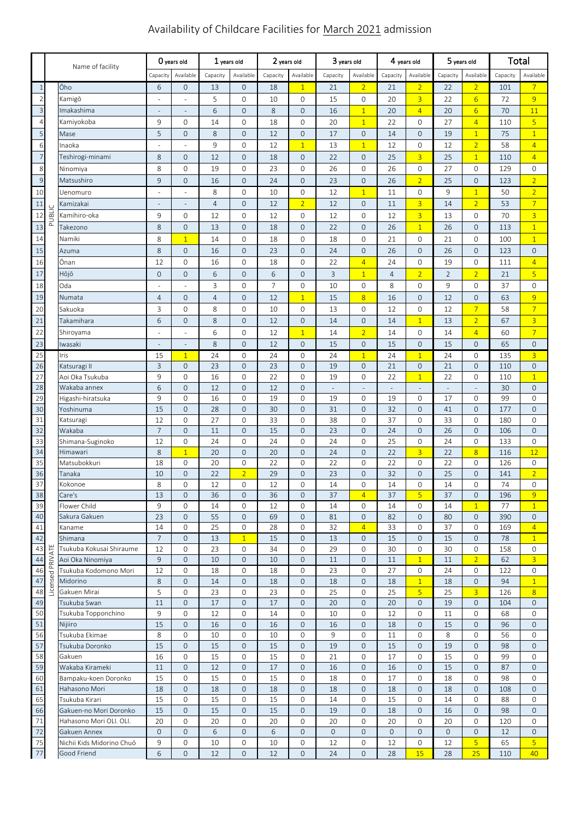# Availability of Childcare Facilities for March 2021 admission

|                       | Name of facility   |                                              | O years old              |                                 | 1 years old    |                                  | 2 years old    |                             | 3 years old |                          | 4 years old              |                          | 5 years old    |                          | Total      |                                    |
|-----------------------|--------------------|----------------------------------------------|--------------------------|---------------------------------|----------------|----------------------------------|----------------|-----------------------------|-------------|--------------------------|--------------------------|--------------------------|----------------|--------------------------|------------|------------------------------------|
|                       |                    |                                              | Capacity                 | Available                       | Capacity       | Available                        | Capacity       | Available                   | Capacity    | Available                | Capacity                 | Available                | Capacity       | Available                | Capacity   | Available                          |
| $\mathbf{1}$          |                    | Ōho                                          | 6                        | $\mathsf{O}\xspace$             | 13             | $\overline{O}$                   | 18             | $\overline{1}$              | 21          | $\overline{2}$           | 21                       | $\overline{2}$           | 22             | $\overline{2}$           | 101        | $7\overline{ }$                    |
| $\sqrt{2}$            |                    | Kamigō                                       | J.                       | ÷,                              | 5              | $\mathbf 0$                      | 10             | 0                           | 15          | 0                        | 20                       | $\overline{3}$           | 22             | $6\overline{6}$          | 72         | 9                                  |
| $\overline{3}$        |                    | Imakashima                                   | $\overline{\phantom{a}}$ | $\centering \label{eq:reduced}$ | 6              | $\overline{O}$                   | 8              | $\mathbf{O}$                | 16          | $\overline{1}$           | 20                       | $\overline{4}$           | 20             | $6 \overline{}$          | 70         | 11                                 |
| $\overline{4}$        |                    | Kamiyokoba                                   | 9                        | $\mathsf{O}\xspace$             | 14             | $\circ$                          | 18             | $\mathbf{0}$                | 20          | $\overline{1}$           | 22                       | 0                        | 27             | $\overline{4}$           | 110        | $\overline{5}$                     |
| 5                     |                    | Mase                                         | 5                        | $\mathsf{O}\xspace$             | 8              | $\mathbf{O}$                     | 12             | $\mathbf 0$                 | 17          | $\mathsf{O}\xspace$      | 14                       | $\mathsf{O}\xspace$      | 19             | $\overline{1}$           | 75         | $\overline{1}$                     |
| 6                     |                    | Inaoka                                       |                          |                                 | 9              | $\circ$                          | 12             | $\overline{1}$              | 13          | $\overline{1}$           | 12                       | 0                        | 12             | $\overline{2}$           | 58         | $\overline{4}$                     |
| $\overline{7}$        |                    | Teshirogi-minami                             | $\,8\,$                  | $\mathsf{O}\xspace$             | 12             | $\mathbf{O}$                     | 18             | $\mathbf 0$                 | 22          | $\mathsf{O}\xspace$      | 25                       | 3                        | 25             | $\overline{1}$           | 110        | $\overline{4}$                     |
| 8                     |                    | Ninomiya                                     | 8                        | $\mathsf{O}\xspace$             | 19             | $\circ$                          | 23             | 0                           | 26          | 0                        | 26                       | 0                        | 27             | 0                        | 129        | $\mathsf{O}$                       |
| $\overline{9}$        |                    | Matsushiro                                   | 9                        | $\mathsf{O}\xspace$             | 16             | $\mathbf 0$                      | 24             | $\mathbf{0}$                | 23          | $\mathsf{O}\xspace$      | 26                       | $\overline{2}$           | 25             | $\mathsf{O}\xspace$      | 123        | $\overline{2}$                     |
| 10                    |                    | Uenomuro                                     |                          | ÷,                              | 8              | $\mathsf{O}$                     | 10             | 0                           | 12          | $\mathbf{1}$             | 11                       | 0                        | 9              | $\overline{1}$           | 50         | $\overline{2}$                     |
| $11\,$                |                    | Kamizakai                                    |                          | $\overline{\phantom{m}}$        | $\overline{4}$ | $\overline{O}$                   | 12             | $\overline{2}$              | 12          | $\mathsf{O}\xspace$      | 11                       | $\overline{3}$           | 14             | $\overline{2}$           | 53         | $\overline{7}$                     |
| 12                    | UBLIC              | Kamihiro-oka                                 | 9                        | $\mathsf{O}\xspace$             | 12             | 0                                | 12             | 0                           | 12          | 0                        | 12                       | $\overline{3}$           | 13             | 0                        | 70         | $\overline{3}$                     |
| 13                    | $\bar{\mathbf{r}}$ | Takezono                                     | 8                        | $\mathsf{O}\xspace$             | 13             | $\mathbf 0$                      | 18             | $\mathbf{O}$                | 22          | $\mathsf{O}\xspace$      | 26                       | $\overline{1}$           | 26             | $\mathsf{O}\xspace$      | 113        | $\overline{1}$                     |
| 14                    |                    | Namiki                                       | 8                        | $\overline{1}$                  | 14             | 0                                | 18             | 0                           | 18          | 0                        | 21                       | 0                        | 21             | 0                        | 100        | $\overline{1}$                     |
| 15                    |                    | Azuma                                        | $\,8\,$                  | $\mathsf{O}\xspace$             | 16             | $\mathbf 0$                      | 23             | $\mathsf{O}\xspace$         | 24          | $\mathsf{O}\xspace$      | 26                       | $\mathbf{O}$             | 26             | $\mathsf{O}\xspace$      | 123        | $\mathbf 0$                        |
| 16                    |                    | Ōnan                                         | 12                       | $\mathsf{O}\xspace$             | 16             | 0                                | 18             | 0                           | 22          | $\overline{4}$           | 24                       | 0                        | 19             | 0                        | 111        | $\overline{4}$                     |
| 17                    |                    | Hōjō                                         | $\mathsf{O}\xspace$      | $\mathsf{O}\xspace$             | 6              | $\mathbf 0$                      | 6              | $\mathsf{O}\xspace$         | 3           | $\overline{1}$           | $\overline{4}$           | $\overline{2}$           | $\overline{2}$ | $\overline{2}$           | 21         | $\overline{5}$                     |
| 18                    |                    | Oda                                          |                          |                                 | 3              | $\circ$                          | $\overline{7}$ | 0                           | 10          | 0                        | 8                        | 0                        | 9              | 0                        | 37         | 0                                  |
| 19                    |                    | Numata                                       | $\overline{4}$           | $\mathsf{O}\xspace$             | $\overline{4}$ | $\mathbf{O}$                     | 12             | $\overline{1}$              | 15          | $\overline{8}$           | 16                       | $\mathsf{O}\xspace$      | 12             | $\mathsf{O}\xspace$      | 63         | 9                                  |
| 20                    |                    | Sakuoka                                      | 3                        | $\mathsf{O}\xspace$             | 8              | $\mathbf 0$                      | 10             | $\mathbf{0}$                | 13          | 0                        | 12                       | 0                        | 12             | $\overline{7}$           | 58         | $\overline{7}$                     |
| 21                    |                    | Takamihara                                   | 6                        | $\mathsf{O}\xspace$             | 8              | $\mathbf{O}$                     | 12             | $\mathbf 0$                 | 14          | $\mathsf{O}\xspace$      | 14                       | $\overline{1}$           | 13             | $\overline{2}$           | 67         | $\overline{3}$                     |
| 22                    |                    | Shiroyama                                    |                          | $\overline{\phantom{a}}$        | 6              | $\circ$                          | 12             | $\overline{1}$              | 14          | $\overline{2}$           | 14                       | $\mathbf 0$              | 14             | $\overline{4}$           | 60         | $\overline{7}$                     |
| 23                    |                    | Iwasaki                                      |                          | $\overline{\phantom{m}}$        | 8              | $\mathbf 0$                      | 12             | $\mathbf 0$                 | 15          | $\mathbf 0$              | 15                       | $\mathsf{O}\xspace$      | 15             | $\mathsf{O}\xspace$      | 65         | $\mathbf 0$                        |
| 25                    |                    | Iris                                         | 15                       | $\mathbf{1}$                    | 24             | $\mathbf 0$                      | 24             | $\mathbf{0}$                | 24          | $\overline{1}$           | 24                       | $\mathbf{1}$             | 24             | $\mathbf{0}$             | 135        | $\overline{3}$                     |
| $\overline{26}$       |                    | Katsuragi II                                 | 3                        | $\mathbf 0$                     | 23             | $\overline{O}$                   | 23             | $\mathbf{O}$                | 19          | $\mathbf 0$              | 21                       | $\mathsf{O}\xspace$      | 21             | $\mathsf{O}\xspace$      | 110        | $\mathbf 0$                        |
| 27                    |                    | Aoi Oka Tsukuba                              | 9                        | $\mathsf{O}\xspace$             | 16             | $\circ$                          | 22             | 0                           | 19          | 0                        | 22                       | $\overline{1}$           | 22             | 0                        | 110        | $\overline{1}$                     |
| 28                    |                    | Wakaba annex                                 | 6                        | $\mathsf{O}\xspace$             | 12             | $\mathbf 0$                      | 12             | $\mathbf{0}$                | ÷,          | $\overline{\phantom{a}}$ | $\overline{\phantom{a}}$ | $\overline{\phantom{a}}$ | $\Box$         | $\overline{\phantom{a}}$ | 30         | $\mathbf{0}$                       |
| 29                    |                    | Higashi-hiratsuka                            | 9                        | $\mathsf{O}\xspace$             | 16             | $\mathbf 0$                      | 19             | $\mathbf{O}$                | 19          | 0                        | 19                       | 0                        | 17             | $\mathbf{O}$             | 99         | $\mathbf 0$                        |
| 30                    |                    | Yoshinuma                                    | 15                       | $\mathsf{O}\xspace$             | 28             | $\mathbf{O}$                     | 30             | $\mathbf{0}$                | 31          | $\mathsf{O}\xspace$      | 32                       | $\mathsf{O}\xspace$      | 41             | $\mathsf{O}\xspace$      | 177        | $\mathbf{0}$                       |
| 31<br>$\overline{32}$ |                    | Katsuragi                                    | 12                       | $\mathsf{O}\xspace$             | 27             | 0                                | 33             | 0                           | 38          | 0                        | 37                       | $\mathbf 0$              | 33             | 0                        | 180        | 0                                  |
|                       |                    | Wakaba<br>Shimana-Suginoko                   | $\overline{7}$<br>12     | $\mathbf 0$<br>$\mathbf 0$      | 11<br>24       | $\overline{0}$<br>$\overline{0}$ | 15<br>24       | $\mathbf 0$<br>$\mathbf{O}$ | 23<br>24    | $\mathbf 0$<br>0         | 24<br>25                 | $\mathsf{O}\xspace$<br>0 | 26<br>24       | $\mathsf{O}\xspace$<br>0 | 106<br>133 | $\mathbf 0$<br>$\mathsf{O}\xspace$ |
| 33<br>$\overline{34}$ |                    | Himawari                                     | 8                        | $\overline{1}$                  | 20             | $\mathbf 0$                      | 20             | $\mathsf{O}\xspace$         | 24          | $\mathbf 0$              | 22                       | $\overline{3}$           | 22             | $\overline{8}$           | 116        | 12                                 |
| 35                    |                    | Matsubokkuri                                 | 18                       | $\mathsf{O}\xspace$             | 20             | $\circ$                          | 22             | 0                           | 22          | 0                        | 22                       | 0                        | 22             | 0                        | 126        | $\mathbf{O}$                       |
| 36                    |                    | Tanaka                                       | 10                       | $\mathbf 0$                     | 22             | $\overline{2}$                   | 29             | $\mathbf 0$                 | 23          | $\mathsf{O}\xspace$      | 32                       | $\mathbf 0$              | 25             | $\mathbf 0$              | 141        | $\overline{2}$                     |
| 37                    |                    | Kokonoe                                      | 8                        | $\overline{0}$                  | 12             | $\circ$                          | 12             | $\mathbf{O}$                | 14          | $\overline{0}$           | 14                       | $\overline{0}$           | 14             | $\mathbf{O}$             | 74         | $\mathbf{O}$                       |
| 38                    |                    | Care's                                       | 13                       | $\mathbf 0$                     | 36             | 0                                | 36             | 0                           | 37          | $\overline{4}$           | 37                       | 5                        | 37             | 0                        | 196        | 9                                  |
| 39                    |                    | Flower Child                                 | 9                        | $\mathbf{0}$                    | 14             | 0                                | 12             | 0                           | 14          | 0                        | 14                       | 0                        | 14             | $\mathbf{1}$             | 77         | $\mathbf{1}$                       |
| 40                    |                    | Sakura Gakuen                                | 23                       | $\mathsf{O}\xspace$             | 55             | $\mathsf{O}\xspace$              | 69             | $\mathsf{O}\xspace$         | 81          | $\mathsf{O}\xspace$      | 82                       | $\mathbf 0$              | 80             | $\mathsf{O}\xspace$      | 390        | $\mathbf 0$                        |
| 41                    |                    | Kaname                                       | 14                       | 0                               | 25             | 0                                | 28             | 0                           | 32          | $\overline{4}$           | 33                       | 0                        | 37             | 0                        | 169        | $\overline{4}$                     |
| 42                    |                    | Shimana                                      | $\overline{7}$           | $\mathbf 0$                     | 13             | $\mathbf{1}$                     | 15             | $\mathbf{0}$                | 13          | 0                        | 15                       | $\mathbf 0$              | 15             | $\mathbf 0$              | 78         | $\mathbf{1}$                       |
| 43<br>44              |                    | Tsukuba Kokusai Shiraume<br>Aoi Oka Ninomiya | 12<br>9                  | 0<br>$\mathbf{0}$               | 23<br>10       | 0<br>$\mathbf{O}$                | 34<br>10       | 0<br>$\mathbf{0}$           | 29<br>11    | 0<br>0                   | 30<br>11                 | 0<br>$\mathbf{1}$        | 30<br>11       | 0<br>$\overline{2}$      | 158<br>62  | 0<br>$\overline{3}$                |
| 46                    |                    | Tsukuba Kodomono Mori                        | 12                       | $\mathbf{O}$                    | 18             | 0                                | 18             | $\mathbf{0}$                | 23          | 0                        | 27                       | 0                        | 24             | 0                        | 122        | $\mathsf{O}$                       |
| 47                    | Licensed PRIVATE   | Midorino                                     | 8                        | $\mathsf{O}\xspace$             | 14             | $\mathbf{O}$                     | 18             | $\mathbf 0$                 | 18          | $\mathsf{O}\xspace$      | 18                       | $\overline{1}$           | 18             | $\mathsf{O}\xspace$      | 94         | $\mathbf{1}$                       |
| 48                    |                    | Gakuen Mirai                                 | 5                        | $\mathbf{0}$                    | 23             | $\mathbf 0$                      | 23             | $\mathbf{0}$                | 25          | 0                        | 25                       | 5 <sup>1</sup>           | 25             | $\overline{3}$           | 126        | 8                                  |
| 49                    |                    | Tsukuba Swan                                 | 11                       | $\mathbf{O}$                    | 17             | $\mathbf{O}$                     | 17             | $\mathbf{0}$                | 20          | $\mathsf{O}\xspace$      | 20                       | $\mathbf 0$              | 19             | $\mathbf{O}$             | 104        | $\mathbf{0}$                       |
| 50                    |                    | Tsukuba Topponchino                          | 9                        | 0                               | 12             | $\mathbf 0$                      | 14             | 0                           | 10          | 0                        | 12                       | 0                        | 11             | 0                        | 68         | 0                                  |
| 51                    |                    | Nijiiro                                      | 15                       | $\mathbf 0$                     | 16             | $\mathbf 0$                      | 16             | $\mathbf 0$                 | 16          | 0                        | 18                       | $\mathbf 0$              | 15             | $\mathbf 0$              | 96         | $\mathbf 0$                        |
| 56                    |                    | Tsukuba Ekimae                               | 8                        | $\mathbf{O}$                    | 10             | $\circ$                          | 10             | $\mathbf{0}$                | 9           | 0                        | 11                       | 0                        | 8              | 0                        | 56         | $\mathsf{O}$                       |
| 57                    |                    | Tsukuba Doronko                              | 15                       | $\mathsf{O}\xspace$             | 15             | $\mathbf{O}$                     | 15             | $\mathbf 0$                 | 19          | $\overline{0}$           | 15                       | $\mathbf 0$              | 19             | $\mathbf 0$              | 98         | $\overline{0}$                     |
| 58                    |                    | Gakuen                                       | 16                       | 0                               | 15             | 0                                | 15             | 0                           | 21          | 0                        | 17                       | 0                        | 15             | 0                        | 99         | 0                                  |
| 59<br>60              |                    | Wakaba Kirameki<br>Bampaku-koen Doronko      | 11<br>15                 | $\mathsf{O}\xspace$             | 12<br>15       | $\mathbf 0$                      | 17<br>15       | $\mathbf 0$<br>$\mathbf{0}$ | 16<br>18    | 0<br>$\mathbf 0$         | 16<br>17                 | $\mathbf 0$              | 15<br>18       | $\mathbf 0$              | 87         | $\mathbf{0}$<br>$\mathbf 0$        |
| 61                    |                    | Hahasono Mori                                | 18                       | 0<br>$\mathbf 0$                | 18             | 0<br>$\mathbf 0$                 | 18             | $\mathbf 0$                 | 18          | 0                        | 18                       | 0<br>$\mathbf 0$         | 18             | 0<br>$\mathbf{0}$        | 98<br>108  | $\mathbf 0$                        |
| 65                    |                    | Tsukuba Kirari                               | 15                       | $\mathsf{O}\xspace$             | 15             | 0                                | 15             | $\mathbf{0}$                | 14          | 0                        | 15                       | 0                        | 14             | 0                        | 88         | $\mathbf{0}$                       |
| 66                    |                    | Gakuen-no Mori Doronko                       | 15                       | $\mathbf{0}$                    | 15             | $\mathbf{O}$                     | 15             | $\mathbf{0}$                | 19          | $\overline{0}$           | 18                       | $\mathbf 0$              | 16             | $\mathbf 0$              | 98         | $\mathbf 0$                        |
| 71                    |                    | Hahasono Mori OLI. OLI.                      | 20                       | $\mathbf{O}$                    | 20             | 0                                | 20             | $\mathbf{0}$                | 20          | 0                        | 20                       | 0                        | 20             | 0                        | 120        | 0                                  |
| 72                    |                    | Gakuen Annex                                 | $\overline{0}$           | $\mathbf{0}$                    | 6              | $\mathbf{O}$                     | 6              | $\mathbf 0$                 | $\mathbf 0$ | $\mathbf{0}$             | $\mathbf 0$              | $\mathbf 0$              | 0              | 0                        | 12         | $\mathbf{0}$                       |
| 75                    |                    | Nichii Kids Midorino Chuō                    | 9                        | 0                               | 10             | 0                                | 10             | 0                           | 12          | 0                        | 12                       | 0                        | 12             | 5                        | 65         | 5 <sup>1</sup>                     |
| 77                    |                    | Good Friend                                  | 6                        | $\mathsf{O}\xspace$             | 12             | $\mathbf 0$                      | 12             | $\mathsf{O}\xspace$         | 24          | $\mathsf{O}\xspace$      | 28                       | 15                       | 28             | 25                       | 110        | 40                                 |